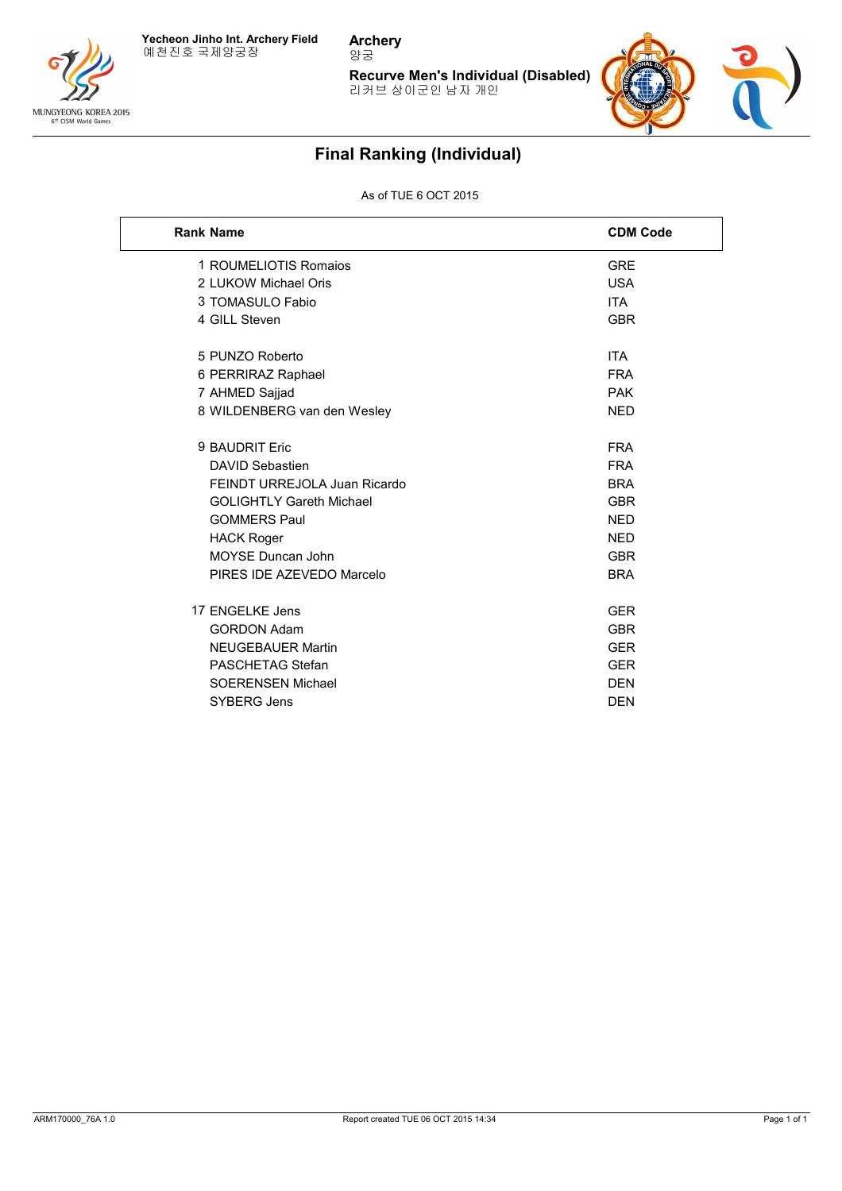



**Archery** 양궁

> **Recurve Men's Individual (Disabled)** 리커브 상이군인 남자 개인



# **Final Ranking (Individual)**

### As of TUE 6 OCT 2015

| <b>Rank Name</b>                | <b>CDM Code</b> |
|---------------------------------|-----------------|
| 1 ROUMELIOTIS Romaios           | <b>GRE</b>      |
| 2 LUKOW Michael Oris            | <b>USA</b>      |
| 3 TOMASULO Fabio                | <b>ITA</b>      |
| 4 GILL Steven                   | <b>GBR</b>      |
|                                 |                 |
| 5 PUNZO Roberto                 | ITA             |
| 6 PERRIRAZ Raphael              | <b>FRA</b>      |
| 7 AHMED Sajjad                  | <b>PAK</b>      |
| 8 WILDENBERG van den Wesley     | <b>NED</b>      |
| 9 BAUDRIT Eric                  | <b>FRA</b>      |
| <b>DAVID Sebastien</b>          | <b>FRA</b>      |
| FEINDT URREJOLA Juan Ricardo    | <b>BRA</b>      |
| <b>GOLIGHTLY Gareth Michael</b> | <b>GBR</b>      |
| <b>GOMMERS Paul</b>             | <b>NED</b>      |
| <b>HACK Roger</b>               | <b>NED</b>      |
| <b>MOYSE Duncan John</b>        | <b>GBR</b>      |
| PIRES IDE AZEVEDO Marcelo       | <b>BRA</b>      |
|                                 |                 |
| 17 ENGELKE Jens                 | <b>GER</b>      |
| <b>GORDON Adam</b>              | <b>GBR</b>      |
| <b>NEUGEBAUER Martin</b>        | <b>GER</b>      |
| PASCHETAG Stefan                | <b>GER</b>      |
| <b>SOERENSEN Michael</b>        | <b>DEN</b>      |
| <b>SYBERG Jens</b>              | <b>DEN</b>      |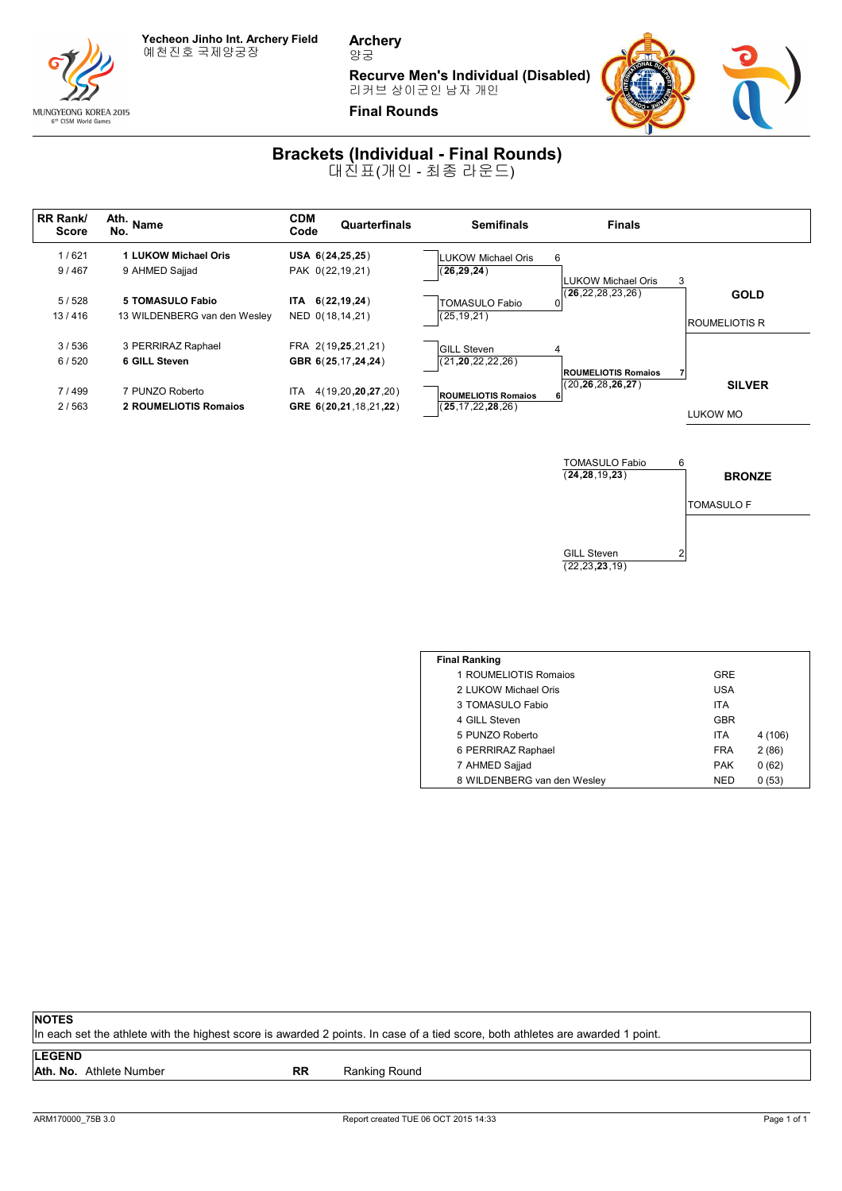

MUNGYEONG KOREA 2015 6th CISM World Gam

**Archery** 양궁

**Recurve Men's Individual (Disabled)**

리커브 상이군인 남자 개인



## **Brackets (Individual - Final Rounds)**

대진표(개인 - 최종 라운드)



| <b>Final Ranking</b>        |            |         |
|-----------------------------|------------|---------|
| 1 ROUMELIOTIS Romaios       | GRE        |         |
| 2 LUKOW Michael Oris        | USA        |         |
| 3 TOMASULO Fabio            | <b>ITA</b> |         |
| 4 GILL Steven               | <b>GBR</b> |         |
| 5 PUNZO Roberto             | <b>ITA</b> | 4 (106) |
| 6 PERRIRAZ Raphael          | <b>FRA</b> | 2(86)   |
| 7 AHMED Sajjad              | <b>PAK</b> | 0(62)   |
| 8 WILDENBERG van den Wesley | <b>NED</b> | 0(53)   |

GILL Steven 2

(22,23**,23**,19)

#### **NOTES**

In each set the athlete with the highest score is awarded 2 points. In case of a tied score, both athletes are awarded 1 point.

#### **LEGEND**

Ath. No. Athlete Number **RR** Ranking Round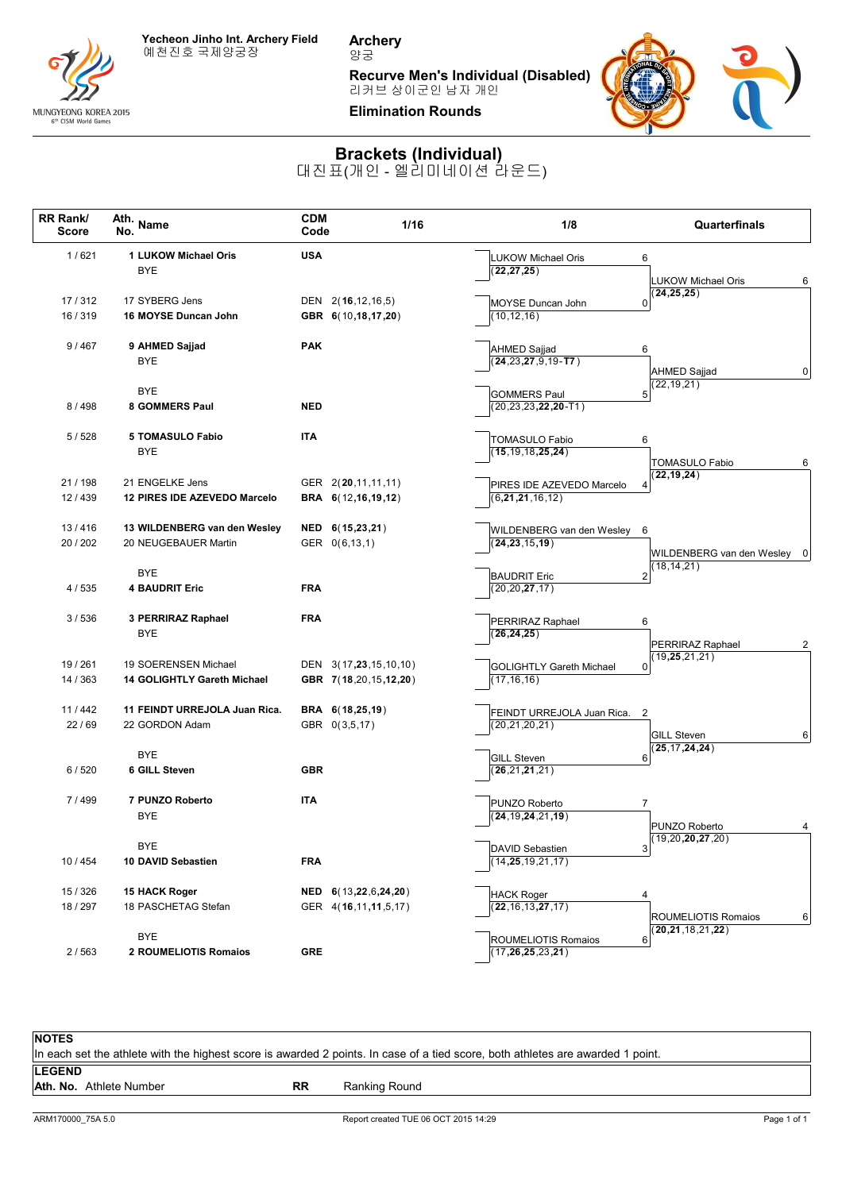

MUNGYEONG KOREA 2015<br>
6<sup>th</sup> CISM World Games

**Archery** 양궁

**Recurve Men's Individual (Disabled)**



## **Brackets (Individual)**

대진표(개인 - 엘리미네이션 라운드)

| RR Rank/<br><b>Score</b> | Ath. Name                             | <b>CDM</b><br>Code    | 1/16 | 1/8                                            | Quarterfinals                                 |
|--------------------------|---------------------------------------|-----------------------|------|------------------------------------------------|-----------------------------------------------|
| 1/621                    | 1 LUKOW Michael Oris                  | <b>USA</b>            |      | <b>LUKOW Michael Oris</b>                      | 6                                             |
|                          | <b>BYE</b>                            |                       |      | (22, 27, 25)                                   |                                               |
|                          |                                       |                       |      |                                                | <b>LUKOW Michael Oris</b><br>6<br>24, 25, 25) |
| 17/312                   | 17 SYBERG Jens                        | DEN 2(16,12,16,5)     |      | MOYSE Duncan John                              | $\Omega$                                      |
| 16/319                   | 16 MOYSE Duncan John                  | GBR 6(10,18,17,20)    |      | (10, 12, 16)                                   |                                               |
| 9/467                    | 9 AHMED Sajjad                        | <b>PAK</b>            |      |                                                | 6                                             |
|                          | <b>BYE</b>                            |                       |      | AHMED Sajjad<br>$(24, 23, 27, 9, 19 - T7)$     |                                               |
|                          |                                       |                       |      |                                                | AHMED Sajjad<br> 0                            |
|                          | BYE                                   |                       |      | <b>GOMMERS Paul</b>                            | 22, 19, 21)<br>5                              |
| 8/498                    | 8 GOMMERS Paul                        | <b>NED</b>            |      | $(20, 23, 23, 22, 20 - T1)$                    |                                               |
|                          |                                       |                       |      |                                                |                                               |
| 5/528                    | <b>5 TOMASULO Fabio</b><br><b>BYE</b> | <b>ITA</b>            |      | TOMASULO Fabio<br>(15, 19, 18, 25, 24)         | 6                                             |
|                          |                                       |                       |      |                                                | <b>TOMASULO Fabio</b><br>6                    |
| 21/198                   | 21 ENGELKE Jens                       | GER 2(20,11,11,11)    |      | PIRES IDE AZEVEDO Marcelo                      | (22, 19, 24)                                  |
| 12/439                   | 12 PIRES IDE AZEVEDO Marcelo          | BRA 6(12,16,19,12)    |      | (6,21,21,16,12)                                | 4                                             |
|                          |                                       |                       |      |                                                |                                               |
| 13/416                   | 13 WILDENBERG van den Wesley          | NED 6(15,23,21)       |      | WILDENBERG van den Wesley                      | - 6                                           |
| 20 / 202                 | 20 NEUGEBAUER Martin                  | GER 0(6,13,1)         |      | (24, 23, 15, 19)                               |                                               |
|                          |                                       |                       |      |                                                | WILDENBERG van den Wesley 0<br>18, 14, 21)    |
|                          | <b>BYE</b>                            |                       |      | <b>BAUDRIT Eric</b>                            | $\boldsymbol{2}$                              |
| 4/535                    | <b>4 BAUDRIT Eric</b>                 | <b>FRA</b>            |      | (20, 20, 27, 17)                               |                                               |
| 3/536                    | 3 PERRIRAZ Raphael                    | <b>FRA</b>            |      | PERRIRAZ Raphael                               | 6                                             |
|                          | <b>BYE</b>                            |                       |      | (26, 24, 25)                                   |                                               |
|                          |                                       |                       |      |                                                | PERRIRAZ Raphael<br>2<br>19,25,21,21)         |
| 19/261                   | 19 SOERENSEN Michael                  | DEN 3(17,23,15,10,10) |      | <b>GOLIGHTLY Gareth Michael</b>                | 0                                             |
| 14 / 363                 | 14 GOLIGHTLY Gareth Michael           | GBR 7(18,20,15,12,20) |      | (17, 16, 16)                                   |                                               |
| 11/442                   | 11 FEINDT URREJOLA Juan Rica.         | BRA 6(18,25,19)       |      |                                                |                                               |
| 22/69                    | 22 GORDON Adam                        | GBR 0(3,5,17)         |      | FEINDT URREJOLA Juan Rica.<br>(20, 21, 20, 21) | $\overline{2}$                                |
|                          |                                       |                       |      |                                                | <b>GILL Steven</b><br>6                       |
|                          | <b>BYE</b>                            |                       |      | <b>GILL Steven</b>                             | 25, 17, 24, 24)<br>6                          |
| 6/520                    | 6 GILL Steven                         | <b>GBR</b>            |      | (26, 21, 21, 21)                               |                                               |
|                          |                                       |                       |      |                                                |                                               |
| 7/499                    | 7 PUNZO Roberto                       | <b>ITA</b>            |      | PUNZO Roberto                                  | $\overline{7}$                                |
|                          | BYE                                   |                       |      | (24, 19, 24, 21, 19)                           | PUNZO Roberto<br>4                            |
|                          | <b>BYE</b>                            |                       |      |                                                | (19, 20, 20, 27, 20)                          |
| 10 / 454                 | 10 DAVID Sebastien                    | <b>FRA</b>            |      | <b>DAVID Sebastien</b><br>(14, 25, 19, 21, 17) | $\overline{3}$                                |
|                          |                                       |                       |      |                                                |                                               |
| 15 / 326                 | 15 HACK Roger                         | NED 6(13,22,6,24,20)  |      | <b>HACK Roger</b>                              | 4                                             |
| 18 / 297                 | 18 PASCHETAG Stefan                   | GER 4(16,11,11,5,17)  |      | (22, 16, 13, 27, 17)                           | <b>ROUMELIOTIS Romaios</b><br>$6 \vert$       |
|                          |                                       |                       |      |                                                | 20, 21, 18, 21, 22)                           |
|                          | <b>BYE</b><br>2 ROUMELIOTIS Romaios   |                       |      | ROUMELIOTIS Romaios                            | 6                                             |
| 2/563                    |                                       | <b>GRE</b>            |      | (17, 26, 25, 23, 21)                           |                                               |

| <b>NOTES</b>  |                                                                                                                                 |           |               |  |  |  |  |
|---------------|---------------------------------------------------------------------------------------------------------------------------------|-----------|---------------|--|--|--|--|
|               | In each set the athlete with the highest score is awarded 2 points. In case of a tied score, both athletes are awarded 1 point. |           |               |  |  |  |  |
| <b>LEGEND</b> |                                                                                                                                 |           |               |  |  |  |  |
|               | Ath. No. Athlete Number                                                                                                         | <b>RR</b> | Ranking Round |  |  |  |  |
|               |                                                                                                                                 |           |               |  |  |  |  |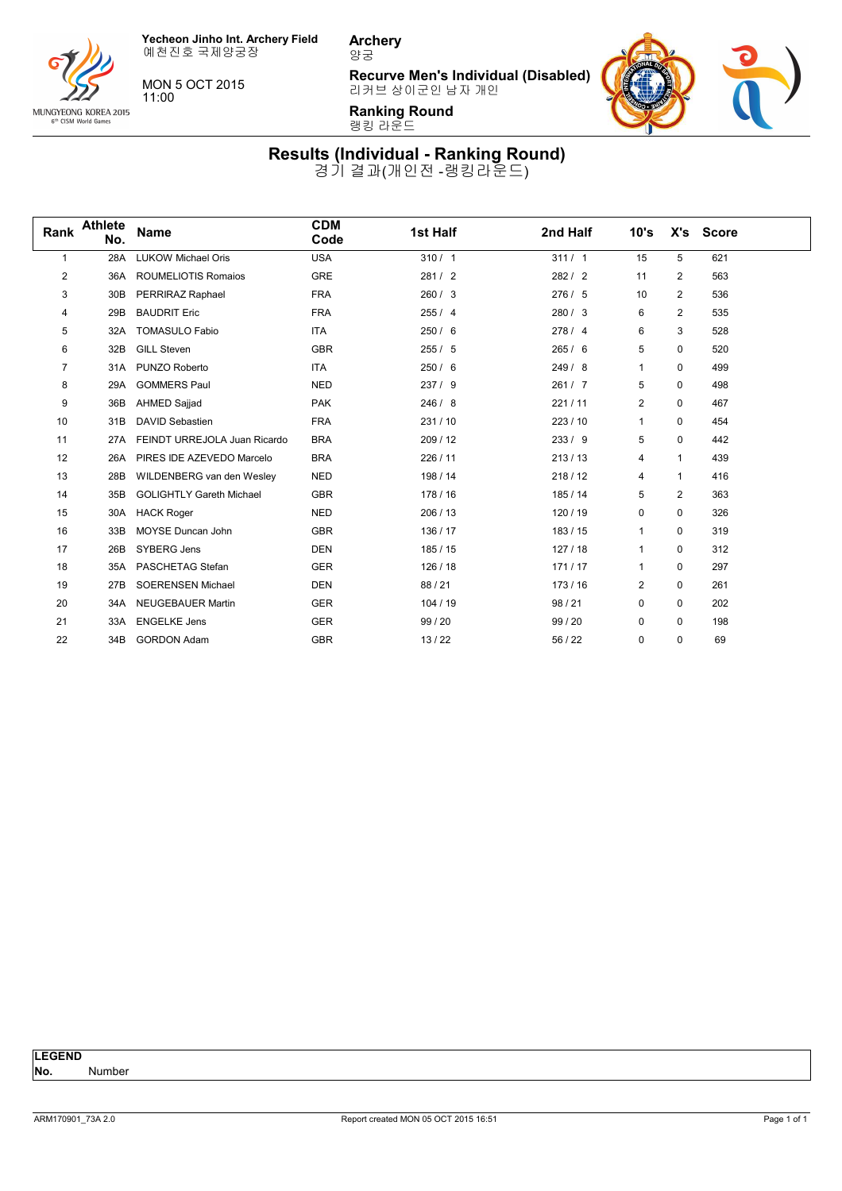**Yecheon Jinho Int. Archery Field** 예천진호 국제양궁장

MUNGYEONG KOREA 2015<br>
6<sup>th</sup> CISM World Games

MON 5 OCT 2015 11:00

**Archery** 양궁

**Recurve Men's Individual (Disabled)** 리커브 상이군인 남자 개인



**Ranking Round** 랭킹 라운드

**Results (Individual - Ranking Round)** 경기 결과(개인전 -랭킹라운드)

| Rank | <b>Athlete</b><br>No. | <b>Name</b>                     | <b>CDM</b><br>Code | 1st Half | 2nd Half | 10's         |                | X's Score |  |
|------|-----------------------|---------------------------------|--------------------|----------|----------|--------------|----------------|-----------|--|
| 1    | 28A                   | <b>LUKOW Michael Oris</b>       | <b>USA</b>         | 310/1    | 311 / 1  | 15           | 5              | 621       |  |
| 2    | 36A                   | <b>ROUMELIOTIS Romaios</b>      | <b>GRE</b>         | 281/2    | 282/2    | 11           | 2              | 563       |  |
| 3    | 30 <sub>B</sub>       | PERRIRAZ Raphael                | <b>FRA</b>         | 260 / 3  | 276/5    | 10           | 2              | 536       |  |
| 4    | 29B                   | <b>BAUDRIT Eric</b>             | <b>FRA</b>         | 255/4    | 280/3    | 6            | $\overline{c}$ | 535       |  |
| 5    | 32A                   | <b>TOMASULO Fabio</b>           | <b>ITA</b>         | 250/6    | 278/4    | 6            | 3              | 528       |  |
| 6    | 32B                   | <b>GILL Steven</b>              | <b>GBR</b>         | 255/5    | 265/6    | 5            | 0              | 520       |  |
| 7    | 31A                   | PUNZO Roberto                   | <b>ITA</b>         | 250/6    | 249/8    | $\mathbf{1}$ | 0              | 499       |  |
| 8    | 29A                   | <b>GOMMERS Paul</b>             | <b>NED</b>         | 237/9    | 261/7    | 5            | 0              | 498       |  |
| 9    | 36B                   | AHMED Sajjad                    | <b>PAK</b>         | 246/8    | 221/11   | 2            | 0              | 467       |  |
| 10   | 31B                   | <b>DAVID Sebastien</b>          | <b>FRA</b>         | 231/10   | 223 / 10 | $\mathbf{1}$ | 0              | 454       |  |
| 11   | 27A                   | FEINDT URREJOLA Juan Ricardo    | <b>BRA</b>         | 209 / 12 | 233/9    | 5            | $\mathbf 0$    | 442       |  |
| 12   | 26A                   | PIRES IDE AZEVEDO Marcelo       | <b>BRA</b>         | 226 / 11 | 213/13   | 4            | $\mathbf{1}$   | 439       |  |
| 13   | 28B                   | WILDENBERG van den Wesley       | <b>NED</b>         | 198 / 14 | 218/12   | 4            | $\mathbf{1}$   | 416       |  |
| 14   | 35B                   | <b>GOLIGHTLY Gareth Michael</b> | <b>GBR</b>         | 178 / 16 | 185 / 14 | 5            | 2              | 363       |  |
| 15   | 30A                   | <b>HACK Roger</b>               | <b>NED</b>         | 206/13   | 120 / 19 | 0            | 0              | 326       |  |
| 16   | 33B                   | MOYSE Duncan John               | <b>GBR</b>         | 136 / 17 | 183/15   | $\mathbf{1}$ | 0              | 319       |  |
| 17   | 26B                   | SYBERG Jens                     | <b>DEN</b>         | 185/15   | 127/18   | $\mathbf{1}$ | 0              | 312       |  |
| 18   | 35A                   | PASCHETAG Stefan                | <b>GER</b>         | 126/18   | 171/17   | $\mathbf{1}$ | $\mathbf 0$    | 297       |  |
| 19   | 27B                   | SOERENSEN Michael               | <b>DEN</b>         | 88 / 21  | 173/16   | 2            | 0              | 261       |  |
| 20   | 34A                   | <b>NEUGEBAUER Martin</b>        | <b>GER</b>         | 104/19   | 98 / 21  | 0            | $\mathbf 0$    | 202       |  |
| 21   | 33A                   | <b>ENGELKE Jens</b>             | <b>GER</b>         | 99/20    | 99 / 20  | 0            | 0              | 198       |  |
| 22   | 34B                   | <b>GORDON Adam</b>              | <b>GBR</b>         | 13/22    | 56 / 22  | 0            | 0              | 69        |  |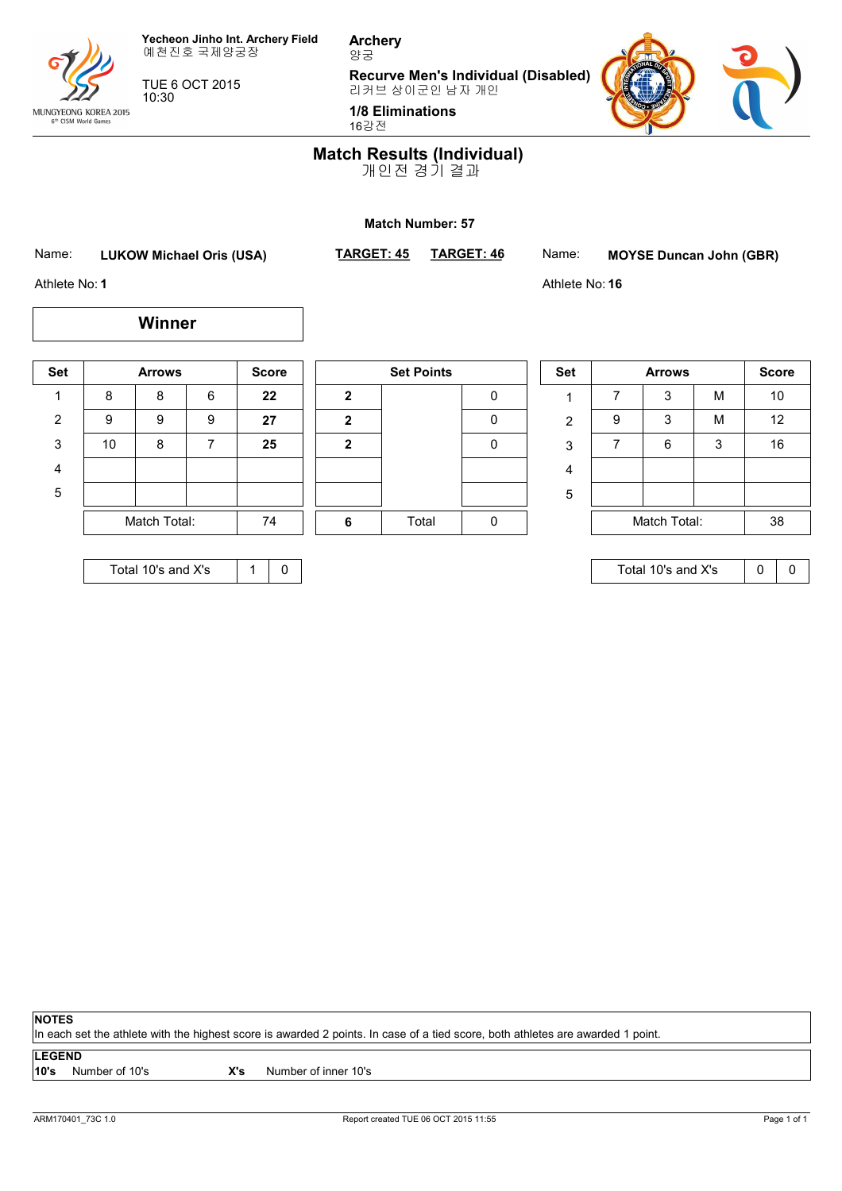

MUNGYEONG KOREA 2015<br>6<sup>th</sup> CISM World Games

TUE 6 OCT 2015 10:30

**Archery** 양궁

**Recurve Men's Individual (Disabled)** 리커브 상이군인 남자 개인

**1/8 Eliminations**

16강전



### **Match Results (Individual)**

개인전 경기 결과

#### **Match Number: 57**

Name: **LUKOW Michael Oris (USA)** TARGET: 45

**\_\_\_\_\_\_\_\_\_\_ TARGET: 46** Name: **MOYSE Duncan John (GBR)**

Athlete No: **16**

Athlete No: **1**

| <b>Set</b>     |              | <b>Arrows</b> |   | <b>Score</b> |   | <b>Set Points</b> |
|----------------|--------------|---------------|---|--------------|---|-------------------|
| 1              | 8            | 8             | 6 | 22           | 2 |                   |
| $\overline{2}$ | 9            | 9             | 9 | 27           | 2 |                   |
| 3              | 10           | 8             |   | 25           | 2 |                   |
| 4              |              |               |   |              |   |                   |
| 5              |              |               |   |              |   |                   |
|                | Match Total: |               |   | 74           | 6 | Total             |

**Winner**

|              | <b>SEL FUILLS</b> |   |
|--------------|-------------------|---|
| $\mathbf 2$  |                   | 0 |
| $\mathbf{2}$ |                   | 0 |
| $\mathbf 2$  |                   | 0 |
|              |                   |   |
|              |                   |   |
| 6            | Total             |   |

|   | <b>Set</b> |   | <b>Arrows</b> |   |    |  |
|---|------------|---|---------------|---|----|--|
| 0 |            |   | 3             | M | 10 |  |
| 0 | 2          | 9 | 3             | M | 12 |  |
| 0 | 3          |   | 6             | 3 | 16 |  |
|   | 4          |   |               |   |    |  |
|   | 5          |   |               |   |    |  |
| 0 |            |   | Match Total:  |   |    |  |

Total 10's and X's  $\begin{array}{|c|c|} \hline \end{array}$  0 0

| Total 10's and X's |
|--------------------|
|--------------------|

#### **NOTES**

In each set the athlete with the highest score is awarded 2 points. In case of a tied score, both athletes are awarded 1 point.

#### **LEGEND**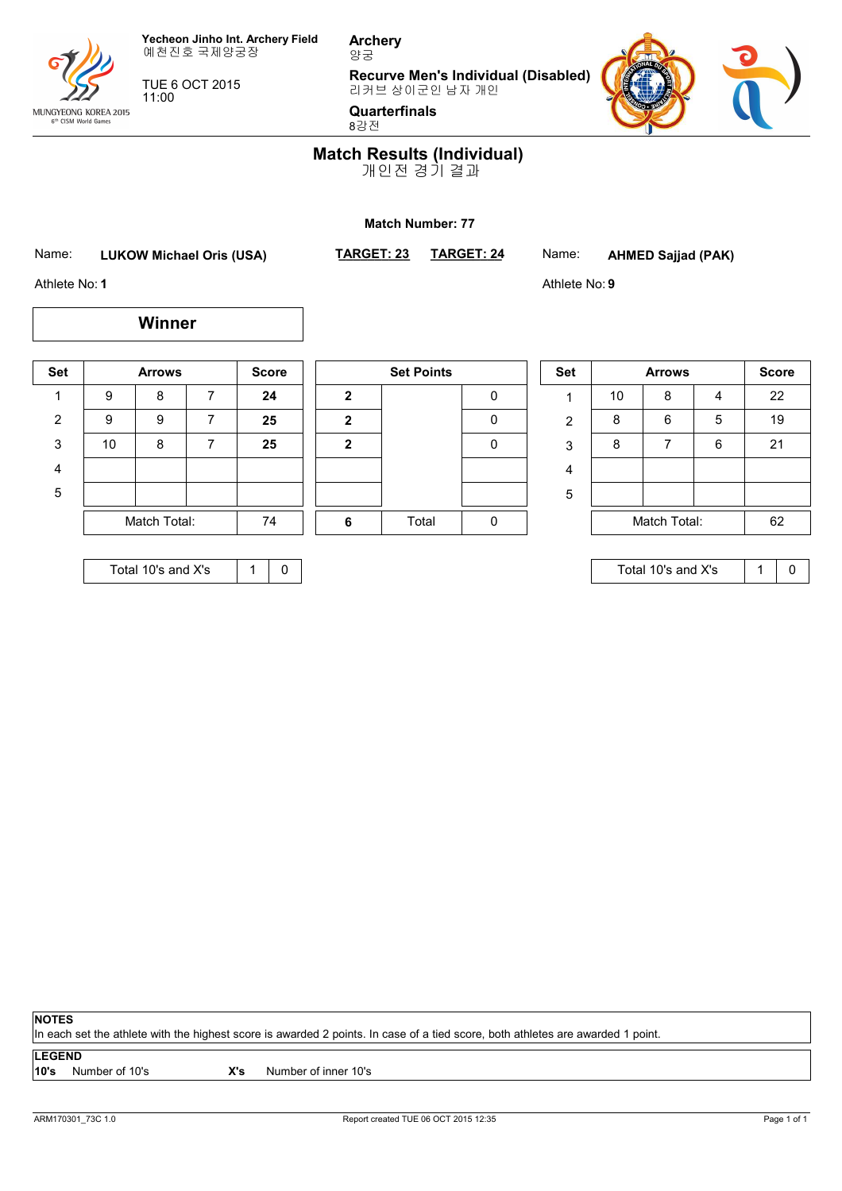

MUNGYEONG KOREA 2015<br>
6<sup>th</sup> CISM World Games

TUE 6 OCT 2015 11:00

**Recurve Men's Individual (Disabled)** 리커브 상이군인 남자 개인



**Quarterfinals** 8강전

**Archery** 양궁

### **Match Results (Individual)**

개인전 경기 결과

#### **Match Number: 77**

Name: **LUKOW Michael Oris (USA)** TARGET: 23

**\_\_\_\_\_\_\_\_\_\_ TARGET: 24** Name: **AHMED Sajjad (PAK)**

Athlete No: **9**

Athlete No: **1**

| <b>Set</b> |              | <b>Arrows</b> |    | <b>Score</b> |              | <b>Set Points</b> |
|------------|--------------|---------------|----|--------------|--------------|-------------------|
|            |              |               |    |              |              |                   |
|            | 9            | 8             | 7  | 24           | $\mathbf{2}$ |                   |
| 2          | 9            | 9             | 7  | 25           | $\mathbf{2}$ |                   |
| 3          | 10           | 8             | 7  | 25           | $\mathbf{2}$ |                   |
| 4          |              |               |    |              |              |                   |
| 5          |              |               |    |              |              |                   |
|            | Match Total: |               | 74 | 6            | Total        |                   |
|            |              |               |    |              |              |                   |

**Winner**

| <b>Set Points</b> |       |   |  |  |  |  |  |
|-------------------|-------|---|--|--|--|--|--|
| $\mathbf{2}$      |       | 0 |  |  |  |  |  |
| $\mathbf{2}$      |       | 0 |  |  |  |  |  |
| $\mathbf{2}$      |       | 0 |  |  |  |  |  |
|                   |       |   |  |  |  |  |  |
|                   |       |   |  |  |  |  |  |
| ຨ                 | Total | n |  |  |  |  |  |

|   | <b>Set</b> |              | <b>Score</b> |   |    |
|---|------------|--------------|--------------|---|----|
| 0 |            | 10           | 8            |   | 22 |
| 0 | 2          | 8            | 6            | 5 | 19 |
| 0 | 3          | 8            |              | 6 | 21 |
|   | 4          |              |              |   |    |
|   | 5          |              |              |   |    |
| 0 |            | Match Total: | 62           |   |    |

Total 10's and X's  $\begin{array}{|c|c|c|c|c|} \hline 1 & 0 \\ \hline \end{array}$ 

| Total 10's and X's |  |  |  |
|--------------------|--|--|--|
|--------------------|--|--|--|

**NOTES**

In each set the athlete with the highest score is awarded 2 points. In case of a tied score, both athletes are awarded 1 point.

**LEGEND**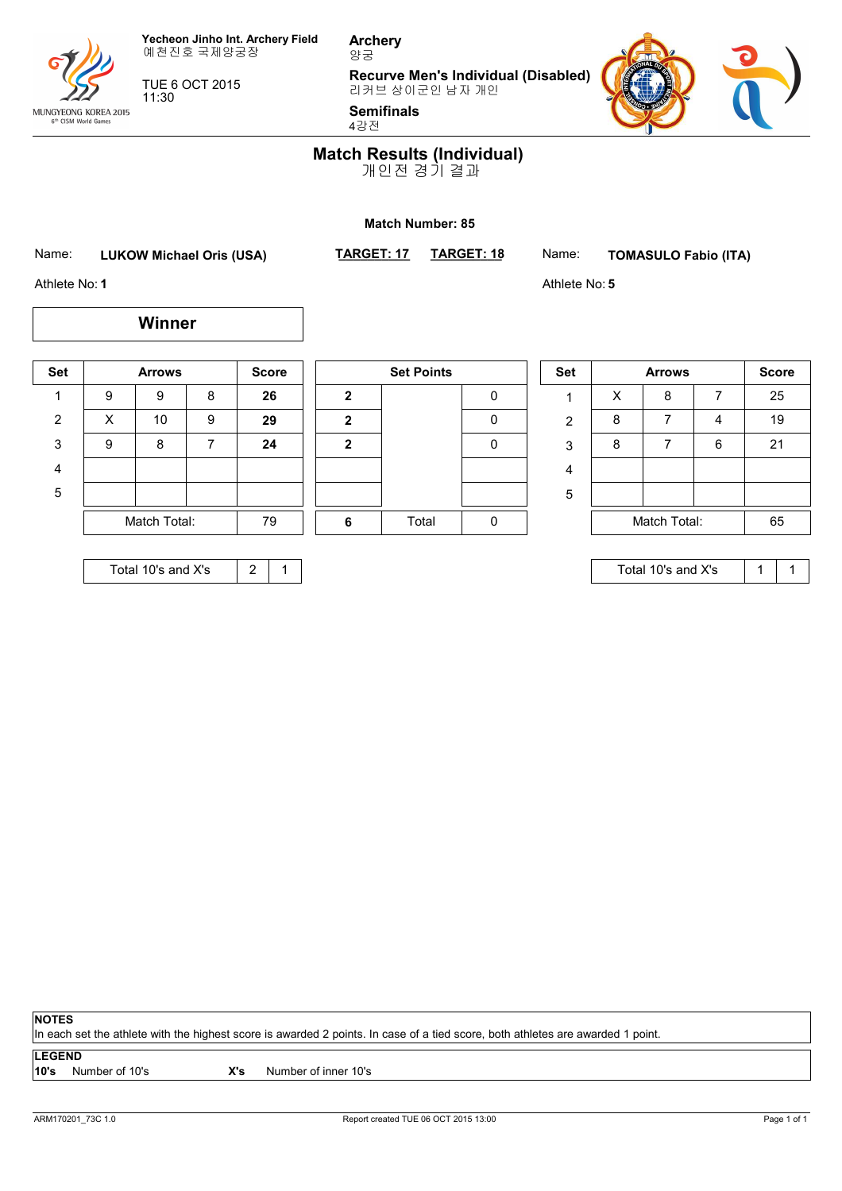

TUE 6 OCT 2015

11:30

**Archery** 양궁

**Recurve Men's Individual (Disabled)**



**Semifinals** 4강전



### **Match Results (Individual)**

개인전 경기 결과

#### **Match Number: 85**

Name: **LUKOW Michael Oris (USA)** TARGET: 17

**Winner**

**\_\_\_\_\_\_\_\_\_\_ TARGET: 18** Name: **TOMASULO Fabio (ITA)**

Athlete No: **5**

Athlete No: **1**

MUNGYEONG KOREA 2015<br>
6<sup>th</sup> CISM World Games

| <b>Set</b>     |              | <b>Arrows</b> |   | <b>Score</b> |              | <b>Set Points</b> |
|----------------|--------------|---------------|---|--------------|--------------|-------------------|
| 1              | 9            | 9             | 8 | 26           | 2            |                   |
| $\overline{2}$ | X            | 10            | 9 | 29           | $\mathbf{2}$ |                   |
| 3              | 9            | 8             | 7 | 24           | 2            |                   |
| 4              |              |               |   |              |              |                   |
| 5              |              |               |   |              |              |                   |
|                | Match Total: |               |   | 79           | 6            | Total             |
|                |              |               |   |              |              |                   |

| Total 10's and X's |  |
|--------------------|--|
|--------------------|--|

|              | <b>Set Points</b> |   |
|--------------|-------------------|---|
| $\mathbf{2}$ |                   | 0 |
| $\mathbf{2}$ |                   | 0 |
| $\mathbf{2}$ |                   | 0 |
|              |                   |   |
|              |                   |   |
| 6            | Total             |   |

|   | <b>Set</b> | <b>Arrows</b> |   |   | <b>Score</b> |
|---|------------|---------------|---|---|--------------|
| 0 |            | х             | 8 |   | 25           |
| 0 | 2          | 8             |   |   | 19           |
| 0 | 3          | 8             |   | 6 | 21           |
|   | 4          |               |   |   |              |
|   | 5          |               |   |   |              |
| 0 |            | Match Total:  |   |   | 65           |

Total 10's and X's  $\begin{array}{|c|c|c|c|c|} \hline 1 & 1 \end{array}$ 

**NOTES**

In each set the athlete with the highest score is awarded 2 points. In case of a tied score, both athletes are awarded 1 point.

**LEGEND**